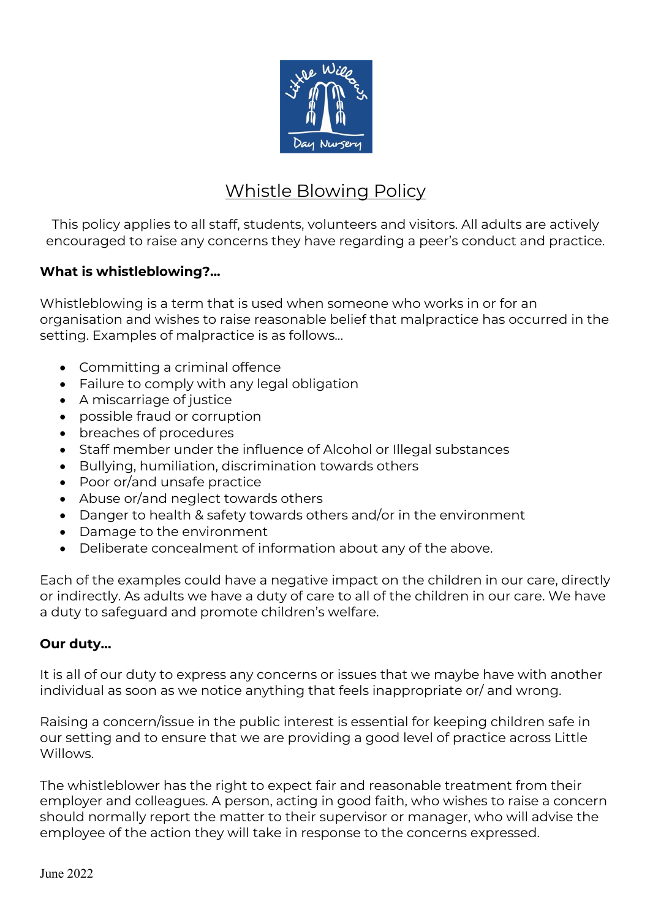

# Whistle Blowing Policy

This policy applies to all staff, students, volunteers and visitors. All adults are actively encouraged to raise any concerns they have regarding a peer's conduct and practice.

## **What is whistleblowing?...**

Whistleblowing is a term that is used when someone who works in or for an organisation and wishes to raise reasonable belief that malpractice has occurred in the setting. Examples of malpractice is as follows...

- Committing a criminal offence
- Failure to comply with any legal obligation
- A miscarriage of justice
- possible fraud or corruption
- breaches of procedures
- Staff member under the influence of Alcohol or Illegal substances
- Bullying, humiliation, discrimination towards others
- Poor or/and unsafe practice
- Abuse or/and neglect towards others
- Danger to health & safety towards others and/or in the environment
- Damage to the environment
- Deliberate concealment of information about any of the above.

Each of the examples could have a negative impact on the children in our care, directly or indirectly. As adults we have a duty of care to all of the children in our care. We have a duty to safeguard and promote children's welfare.

#### **Our duty…**

It is all of our duty to express any concerns or issues that we maybe have with another individual as soon as we notice anything that feels inappropriate or/ and wrong.

Raising a concern/issue in the public interest is essential for keeping children safe in our setting and to ensure that we are providing a good level of practice across Little Willows.

The whistleblower has the right to expect fair and reasonable treatment from their employer and colleagues. A person, acting in good faith, who wishes to raise a concern should normally report the matter to their supervisor or manager, who will advise the employee of the action they will take in response to the concerns expressed.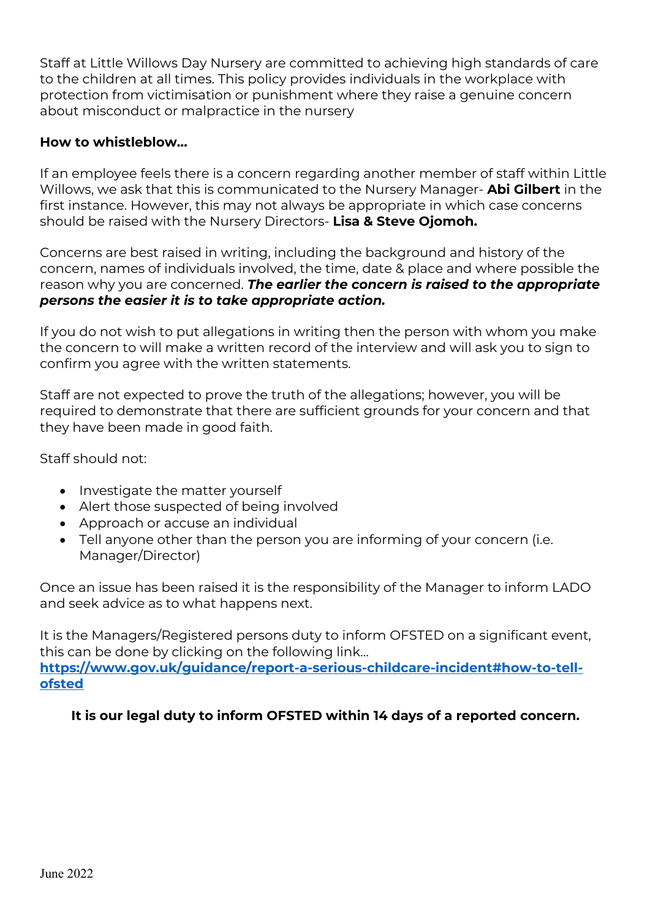Staff at Little Willows Day Nursery are committed to achieving high standards of care to the children at all times. This policy provides individuals in the workplace with protection from victimisation or punishment where they raise a genuine concern about misconduct or malpractice in the nursery

### **How to whistleblow…**

If an employee feels there is a concern regarding another member of staff within Little Willows, we ask that this is communicated to the Nursery Manager- **Abi Gilbert** in the first instance. However, this may not always be appropriate in which case concerns should be raised with the Nursery Directors- **Lisa & Steve Ojomoh.**

Concerns are best raised in writing, including the background and history of the concern, names of individuals involved, the time, date & place and where possible the reason why you are concerned. *The earlier the concern is raised to the appropriate persons the easier it is to take appropriate action.* 

If you do not wish to put allegations in writing then the person with whom you make the concern to will make a written record of the interview and will ask you to sign to confirm you agree with the written statements.

Staff are not expected to prove the truth of the allegations; however, you will be required to demonstrate that there are sufficient grounds for your concern and that they have been made in good faith.

Staff should not:

- Investigate the matter yourself
- Alert those suspected of being involved
- Approach or accuse an individual
- Tell anyone other than the person you are informing of your concern (i.e. Manager/Director)

Once an issue has been raised it is the responsibility of the Manager to inform LADO and seek advice as to what happens next.

It is the Managers/Registered persons duty to inform OFSTED on a significant event, this can be done by clicking on the following link… **https://www.gov.uk/guidance/report-a-serious-childcare-incident#how-to-tellofsted**

**It is our legal duty to inform OFSTED within 14 days of a reported concern.**